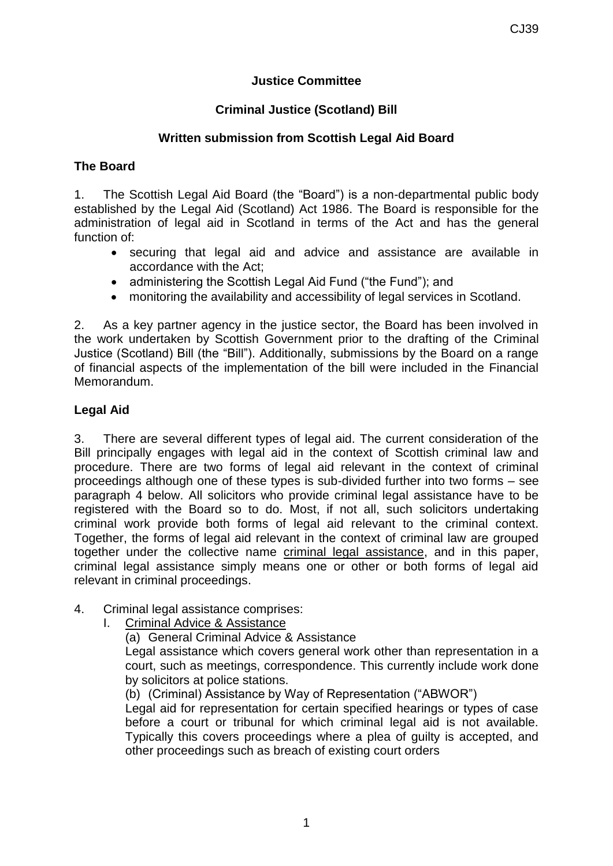# **Justice Committee**

### **Criminal Justice (Scotland) Bill**

#### **Written submission from Scottish Legal Aid Board**

#### **The Board**

1. The Scottish Legal Aid Board (the "Board") is a non-departmental public body established by the Legal Aid (Scotland) Act 1986. The Board is responsible for the administration of legal aid in Scotland in terms of the Act and has the general function of:

- securing that legal aid and advice and assistance are available in accordance with the Act;
- administering the Scottish Legal Aid Fund ("the Fund"); and
- monitoring the availability and accessibility of legal services in Scotland.

2. As a key partner agency in the justice sector, the Board has been involved in the work undertaken by Scottish Government prior to the drafting of the Criminal Justice (Scotland) Bill (the "Bill"). Additionally, submissions by the Board on a range of financial aspects of the implementation of the bill were included in the Financial Memorandum.

# **Legal Aid**

3. There are several different types of legal aid. The current consideration of the Bill principally engages with legal aid in the context of Scottish criminal law and procedure. There are two forms of legal aid relevant in the context of criminal proceedings although one of these types is sub-divided further into two forms – see paragraph 4 below. All solicitors who provide criminal legal assistance have to be registered with the Board so to do. Most, if not all, such solicitors undertaking criminal work provide both forms of legal aid relevant to the criminal context. Together, the forms of legal aid relevant in the context of criminal law are grouped together under the collective name criminal legal assistance, and in this paper, criminal legal assistance simply means one or other or both forms of legal aid relevant in criminal proceedings.

- 4. Criminal legal assistance comprises:
	- I. Criminal Advice & Assistance
		- (a) General Criminal Advice & Assistance

Legal assistance which covers general work other than representation in a court, such as meetings, correspondence. This currently include work done by solicitors at police stations.

(b) (Criminal) Assistance by Way of Representation ("ABWOR")

Legal aid for representation for certain specified hearings or types of case before a court or tribunal for which criminal legal aid is not available. Typically this covers proceedings where a plea of guilty is accepted, and other proceedings such as breach of existing court orders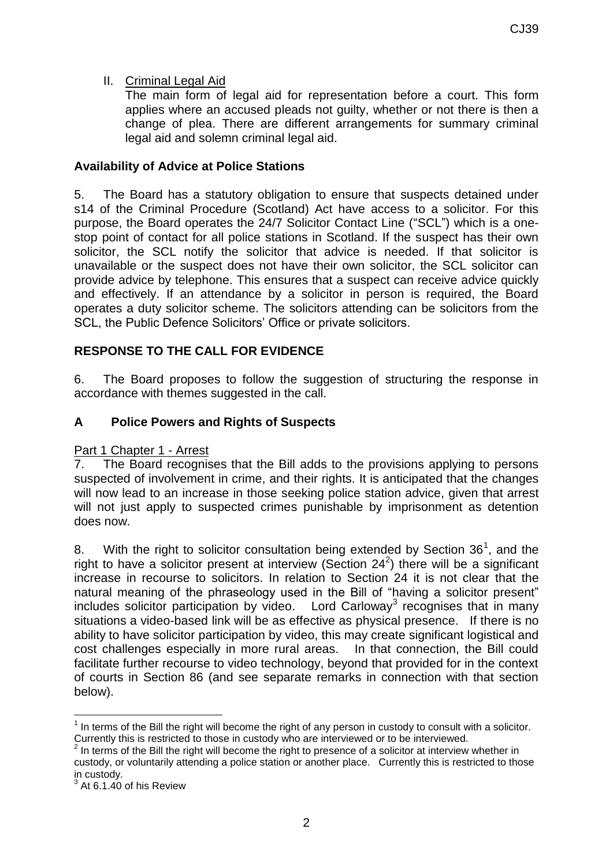# II. Criminal Legal Aid

The main form of legal aid for representation before a court. This form applies where an accused pleads not guilty, whether or not there is then a change of plea. There are different arrangements for summary criminal legal aid and solemn criminal legal aid.

#### **Availability of Advice at Police Stations**

5. The Board has a statutory obligation to ensure that suspects detained under s14 of the Criminal Procedure (Scotland) Act have access to a solicitor. For this purpose, the Board operates the 24/7 Solicitor Contact Line ("SCL") which is a onestop point of contact for all police stations in Scotland. If the suspect has their own solicitor, the SCL notify the solicitor that advice is needed. If that solicitor is unavailable or the suspect does not have their own solicitor, the SCL solicitor can provide advice by telephone. This ensures that a suspect can receive advice quickly and effectively. If an attendance by a solicitor in person is required, the Board operates a duty solicitor scheme. The solicitors attending can be solicitors from the SCL, the Public Defence Solicitors' Office or private solicitors.

# **RESPONSE TO THE CALL FOR EVIDENCE**

6. The Board proposes to follow the suggestion of structuring the response in accordance with themes suggested in the call.

#### **A Police Powers and Rights of Suspects**

#### Part 1 Chapter 1 - Arrest

7. The Board recognises that the Bill adds to the provisions applying to persons suspected of involvement in crime, and their rights. It is anticipated that the changes will now lead to an increase in those seeking police station advice, given that arrest will not just apply to suspected crimes punishable by imprisonment as detention does now.

8. With the right to solicitor consultation being extended by Section  $36^1$ , and the right to have a solicitor present at interview (Section  $24^2$ ) there will be a significant increase in recourse to solicitors. In relation to Section 24 it is not clear that the natural meaning of the phraseology used in the Bill of "having a solicitor present" includes solicitor participation by video. Lord Carloway<sup>3</sup> recognises that in many situations a video-based link will be as effective as physical presence. If there is no ability to have solicitor participation by video, this may create significant logistical and cost challenges especially in more rural areas. In that connection, the Bill could facilitate further recourse to video technology, beyond that provided for in the context of courts in Section 86 (and see separate remarks in connection with that section below).

-

 $1$  In terms of the Bill the right will become the right of any person in custody to consult with a solicitor. Currently this is restricted to those in custody who are interviewed or to be interviewed.<br><sup>2</sup> In terms of the Pill the right will become the right to presence of a solicitor at interview

In terms of the Bill the right will become the right to presence of a solicitor at interview whether in custody, or voluntarily attending a police station or another place. Currently this is restricted to those in custody.<br> $3.0164.40$ 

At 6.1.40 of his Review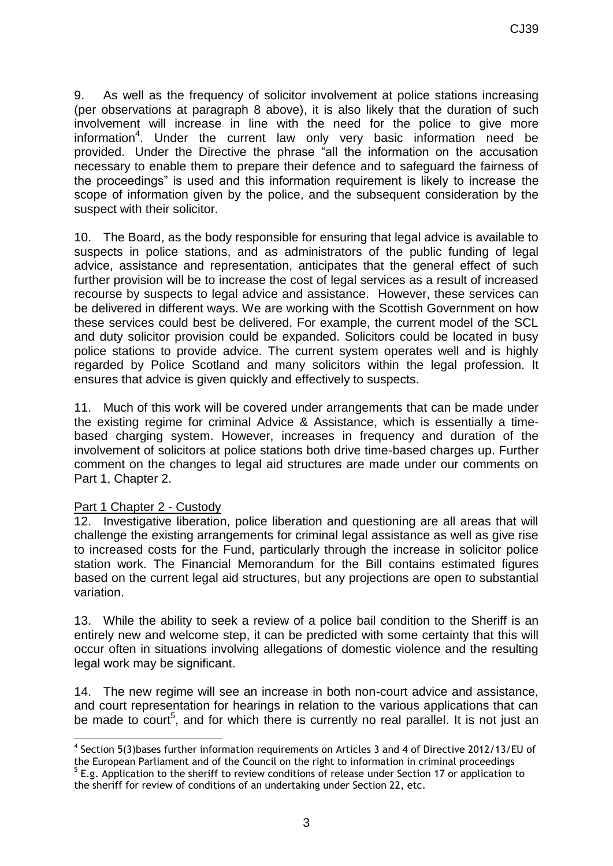9. As well as the frequency of solicitor involvement at police stations increasing (per observations at paragraph 8 above), it is also likely that the duration of such involvement will increase in line with the need for the police to give more information<sup>4</sup>. Under the current law only very basic information need be provided. Under the Directive the phrase "all the information on the accusation necessary to enable them to prepare their defence and to safeguard the fairness of the proceedings" is used and this information requirement is likely to increase the scope of information given by the police, and the subsequent consideration by the suspect with their solicitor.

10. The Board, as the body responsible for ensuring that legal advice is available to suspects in police stations, and as administrators of the public funding of legal advice, assistance and representation, anticipates that the general effect of such further provision will be to increase the cost of legal services as a result of increased recourse by suspects to legal advice and assistance. However, these services can be delivered in different ways. We are working with the Scottish Government on how these services could best be delivered. For example, the current model of the SCL and duty solicitor provision could be expanded. Solicitors could be located in busy police stations to provide advice. The current system operates well and is highly regarded by Police Scotland and many solicitors within the legal profession. It ensures that advice is given quickly and effectively to suspects.

11. Much of this work will be covered under arrangements that can be made under the existing regime for criminal Advice & Assistance, which is essentially a timebased charging system. However, increases in frequency and duration of the involvement of solicitors at police stations both drive time-based charges up. Further comment on the changes to legal aid structures are made under our comments on Part 1, Chapter 2.

#### Part 1 Chapter 2 - Custody

-

12. Investigative liberation, police liberation and questioning are all areas that will challenge the existing arrangements for criminal legal assistance as well as give rise to increased costs for the Fund, particularly through the increase in solicitor police station work. The Financial Memorandum for the Bill contains estimated figures based on the current legal aid structures, but any projections are open to substantial variation.

13. While the ability to seek a review of a police bail condition to the Sheriff is an entirely new and welcome step, it can be predicted with some certainty that this will occur often in situations involving allegations of domestic violence and the resulting legal work may be significant.

14. The new regime will see an increase in both non-court advice and assistance, and court representation for hearings in relation to the various applications that can be made to court<sup>5</sup>, and for which there is currently no real parallel. It is not just an

<sup>&</sup>lt;sup>4</sup> Section 5(3)bases further information requirements on Articles 3 and 4 of Directive 2012/13/EU of the European Parliament and of the Council on the right to information in criminal proceedings  $5$  E.g. Application to the sheriff to review conditions of release under Section 17 or application to

the sheriff for review of conditions of an undertaking under Section 22, etc.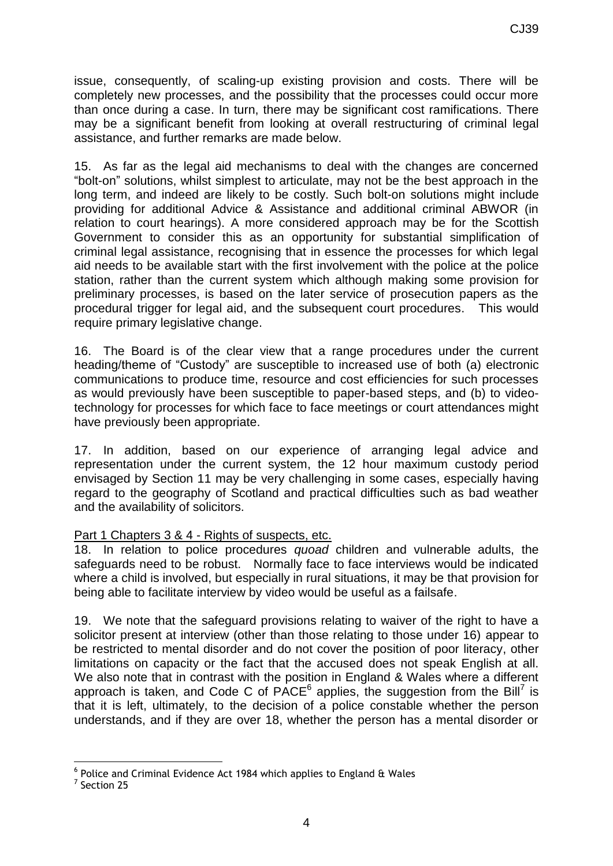issue, consequently, of scaling-up existing provision and costs. There will be completely new processes, and the possibility that the processes could occur more than once during a case. In turn, there may be significant cost ramifications. There may be a significant benefit from looking at overall restructuring of criminal legal assistance, and further remarks are made below.

15. As far as the legal aid mechanisms to deal with the changes are concerned "bolt-on" solutions, whilst simplest to articulate, may not be the best approach in the long term, and indeed are likely to be costly. Such bolt-on solutions might include providing for additional Advice & Assistance and additional criminal ABWOR (in relation to court hearings). A more considered approach may be for the Scottish Government to consider this as an opportunity for substantial simplification of criminal legal assistance, recognising that in essence the processes for which legal aid needs to be available start with the first involvement with the police at the police station, rather than the current system which although making some provision for preliminary processes, is based on the later service of prosecution papers as the procedural trigger for legal aid, and the subsequent court procedures. This would require primary legislative change.

16. The Board is of the clear view that a range procedures under the current heading/theme of "Custody" are susceptible to increased use of both (a) electronic communications to produce time, resource and cost efficiencies for such processes as would previously have been susceptible to paper-based steps, and (b) to videotechnology for processes for which face to face meetings or court attendances might have previously been appropriate.

17. In addition, based on our experience of arranging legal advice and representation under the current system, the 12 hour maximum custody period envisaged by Section 11 may be very challenging in some cases, especially having regard to the geography of Scotland and practical difficulties such as bad weather and the availability of solicitors.

#### Part 1 Chapters 3 & 4 - Rights of suspects, etc.

18. In relation to police procedures *quoad* children and vulnerable adults, the safeguards need to be robust. Normally face to face interviews would be indicated where a child is involved, but especially in rural situations, it may be that provision for being able to facilitate interview by video would be useful as a failsafe.

19. We note that the safeguard provisions relating to waiver of the right to have a solicitor present at interview (other than those relating to those under 16) appear to be restricted to mental disorder and do not cover the position of poor literacy, other limitations on capacity or the fact that the accused does not speak English at all. We also note that in contrast with the position in England & Wales where a different approach is taken, and Code C of  $PACE<sup>6</sup>$  applies, the suggestion from the Bill<sup>7</sup> is that it is left, ultimately, to the decision of a police constable whether the person understands, and if they are over 18, whether the person has a mental disorder or

<sup>-</sup> $^6$  Police and Criminal Evidence Act 1984 which applies to England & Wales

 $<sup>7</sup>$  Section 25</sup>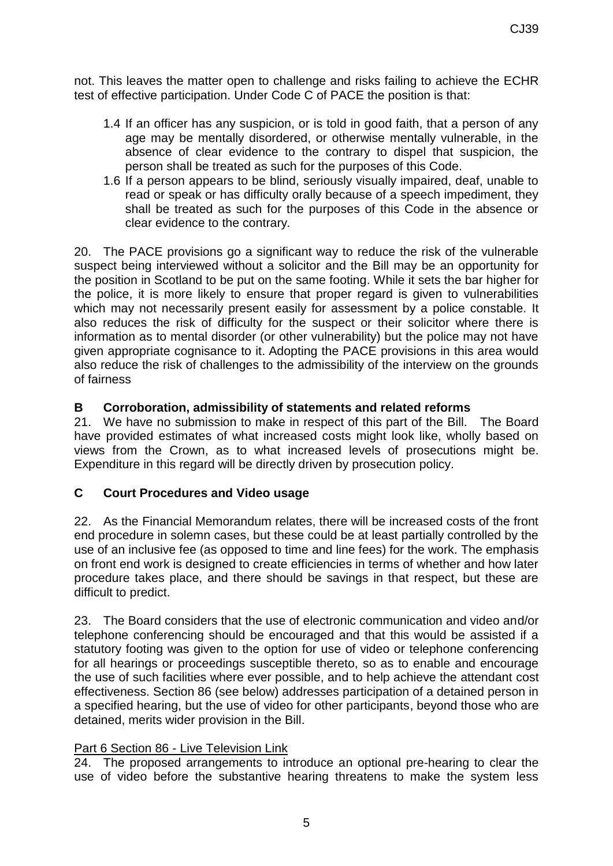not. This leaves the matter open to challenge and risks failing to achieve the ECHR test of effective participation. Under Code C of PACE the position is that:

- 1.4 If an officer has any suspicion, or is told in good faith, that a person of any age may be mentally disordered, or otherwise mentally vulnerable, in the absence of clear evidence to the contrary to dispel that suspicion, the person shall be treated as such for the purposes of this Code.
- 1.6 If a person appears to be blind, seriously visually impaired, deaf, unable to read or speak or has difficulty orally because of a speech impediment, they shall be treated as such for the purposes of this Code in the absence or clear evidence to the contrary*.*

20. The PACE provisions go a significant way to reduce the risk of the vulnerable suspect being interviewed without a solicitor and the Bill may be an opportunity for the position in Scotland to be put on the same footing. While it sets the bar higher for the police, it is more likely to ensure that proper regard is given to vulnerabilities which may not necessarily present easily for assessment by a police constable. It also reduces the risk of difficulty for the suspect or their solicitor where there is information as to mental disorder (or other vulnerability) but the police may not have given appropriate cognisance to it. Adopting the PACE provisions in this area would also reduce the risk of challenges to the admissibility of the interview on the grounds of fairness

#### **B Corroboration, admissibility of statements and related reforms**

21. We have no submission to make in respect of this part of the Bill. The Board have provided estimates of what increased costs might look like, wholly based on views from the Crown, as to what increased levels of prosecutions might be. Expenditure in this regard will be directly driven by prosecution policy.

#### **C Court Procedures and Video usage**

22. As the Financial Memorandum relates, there will be increased costs of the front end procedure in solemn cases, but these could be at least partially controlled by the use of an inclusive fee (as opposed to time and line fees) for the work. The emphasis on front end work is designed to create efficiencies in terms of whether and how later procedure takes place, and there should be savings in that respect, but these are difficult to predict.

23. The Board considers that the use of electronic communication and video and/or telephone conferencing should be encouraged and that this would be assisted if a statutory footing was given to the option for use of video or telephone conferencing for all hearings or proceedings susceptible thereto, so as to enable and encourage the use of such facilities where ever possible, and to help achieve the attendant cost effectiveness. Section 86 (see below) addresses participation of a detained person in a specified hearing, but the use of video for other participants, beyond those who are detained, merits wider provision in the Bill.

#### Part 6 Section 86 - Live Television Link

24. The proposed arrangements to introduce an optional pre-hearing to clear the use of video before the substantive hearing threatens to make the system less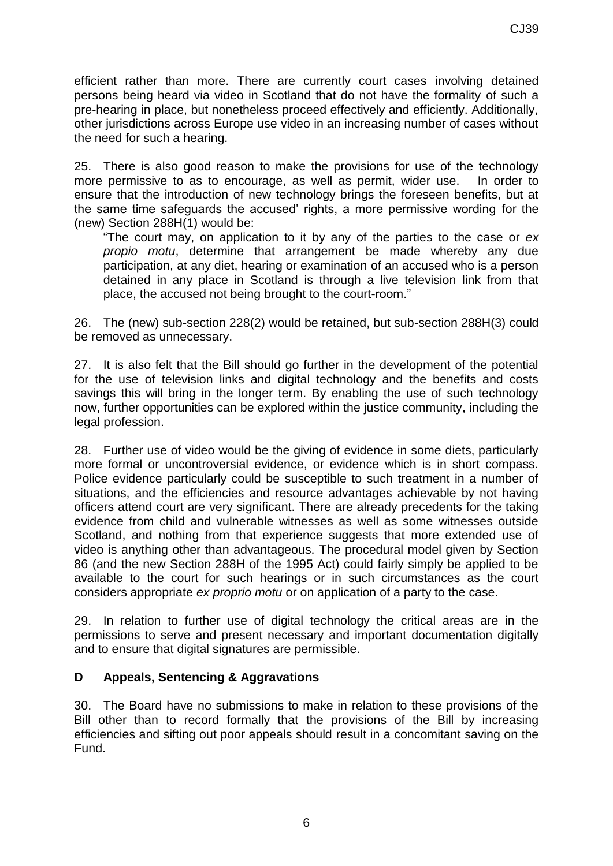efficient rather than more. There are currently court cases involving detained persons being heard via video in Scotland that do not have the formality of such a pre-hearing in place, but nonetheless proceed effectively and efficiently. Additionally, other jurisdictions across Europe use video in an increasing number of cases without the need for such a hearing.

25. There is also good reason to make the provisions for use of the technology more permissive to as to encourage, as well as permit, wider use. In order to ensure that the introduction of new technology brings the foreseen benefits, but at the same time safeguards the accused' rights, a more permissive wording for the (new) Section 288H(1) would be:

"The court may, on application to it by any of the parties to the case or *ex propio motu*, determine that arrangement be made whereby any due participation, at any diet, hearing or examination of an accused who is a person detained in any place in Scotland is through a live television link from that place, the accused not being brought to the court-room."

26. The (new) sub-section 228(2) would be retained, but sub-section 288H(3) could be removed as unnecessary.

27. It is also felt that the Bill should go further in the development of the potential for the use of television links and digital technology and the benefits and costs savings this will bring in the longer term. By enabling the use of such technology now, further opportunities can be explored within the justice community, including the legal profession.

28. Further use of video would be the giving of evidence in some diets, particularly more formal or uncontroversial evidence, or evidence which is in short compass. Police evidence particularly could be susceptible to such treatment in a number of situations, and the efficiencies and resource advantages achievable by not having officers attend court are very significant. There are already precedents for the taking evidence from child and vulnerable witnesses as well as some witnesses outside Scotland, and nothing from that experience suggests that more extended use of video is anything other than advantageous. The procedural model given by Section 86 (and the new Section 288H of the 1995 Act) could fairly simply be applied to be available to the court for such hearings or in such circumstances as the court considers appropriate *ex proprio motu* or on application of a party to the case.

29. In relation to further use of digital technology the critical areas are in the permissions to serve and present necessary and important documentation digitally and to ensure that digital signatures are permissible.

#### **D Appeals, Sentencing & Aggravations**

30. The Board have no submissions to make in relation to these provisions of the Bill other than to record formally that the provisions of the Bill by increasing efficiencies and sifting out poor appeals should result in a concomitant saving on the Fund.